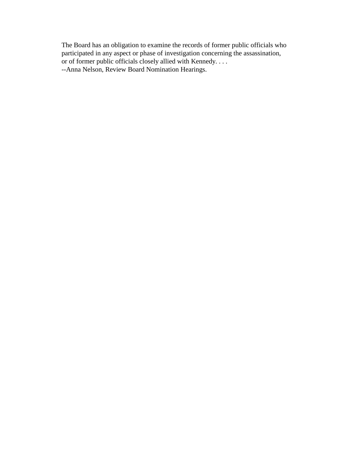The Board has an obligation to examine the records of former public officials who participated in any aspect or phase of investigation concerning the assassination, or of former public officials closely allied with Kennedy. . . . --Anna Nelson, Review Board Nomination Hearings.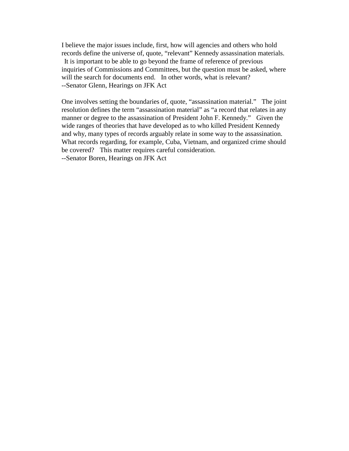I believe the major issues include, first, how will agencies and others who hold records define the universe of, quote, "relevant" Kennedy assassination materials. It is important to be able to go beyond the frame of reference of previous inquiries of Commissions and Committees, but the question must be asked, where will the search for documents end. In other words, what is relevant? --Senator Glenn, Hearings on JFK Act

One involves setting the boundaries of, quote, "assassination material." The joint resolution defines the term "assassination material" as "a record that relates in any manner or degree to the assassination of President John F. Kennedy." Given the wide ranges of theories that have developed as to who killed President Kennedy and why, many types of records arguably relate in some way to the assassination. What records regarding, for example, Cuba, Vietnam, and organized crime should be covered? This matter requires careful consideration. --Senator Boren, Hearings on JFK Act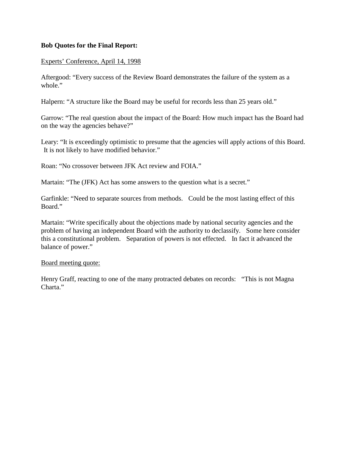## **Bob Quotes for the Final Report:**

### Experts' Conference, April 14, 1998

Aftergood: "Every success of the Review Board demonstrates the failure of the system as a whole."

Halpern: "A structure like the Board may be useful for records less than 25 years old."

Garrow: "The real question about the impact of the Board: How much impact has the Board had on the way the agencies behave?"

Leary: "It is exceedingly optimistic to presume that the agencies will apply actions of this Board. It is not likely to have modified behavior."

Roan: "No crossover between JFK Act review and FOIA."

Martain: "The (JFK) Act has some answers to the question what is a secret."

Garfinkle: "Need to separate sources from methods. Could be the most lasting effect of this Board."

Martain: "Write specifically about the objections made by national security agencies and the problem of having an independent Board with the authority to declassify. Some here consider this a constitutional problem. Separation of powers is not effected. In fact it advanced the balance of power."

#### Board meeting quote:

Henry Graff, reacting to one of the many protracted debates on records: "This is not Magna Charta."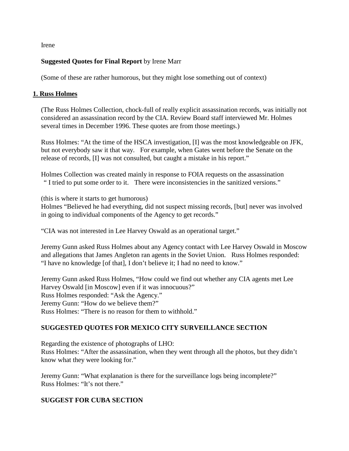Irene

## **Suggested Quotes for Final Report** by Irene Marr

(Some of these are rather humorous, but they might lose something out of context)

## **1. Russ Holmes**

(The Russ Holmes Collection, chock-full of really explicit assassination records, was initially not considered an assassination record by the CIA. Review Board staff interviewed Mr. Holmes several times in December 1996. These quotes are from those meetings.)

Russ Holmes: "At the time of the HSCA investigation, [I] was the most knowledgeable on JFK, but not everybody saw it that way. For example, when Gates went before the Senate on the release of records, [I] was not consulted, but caught a mistake in his report."

Holmes Collection was created mainly in response to FOIA requests on the assassination " I tried to put some order to it. There were inconsistencies in the sanitized versions."

(this is where it starts to get humorous)

Holmes "Believed he had everything, did not suspect missing records, [but] never was involved in going to individual components of the Agency to get records."

"CIA was not interested in Lee Harvey Oswald as an operational target."

Jeremy Gunn asked Russ Holmes about any Agency contact with Lee Harvey Oswald in Moscow and allegations that James Angleton ran agents in the Soviet Union. Russ Holmes responded: "I have no knowledge [of that], I don't believe it; I had no need to know."

Jeremy Gunn asked Russ Holmes, "How could we find out whether any CIA agents met Lee Harvey Oswald [in Moscow] even if it was innocuous?" Russ Holmes responded: "Ask the Agency." Jeremy Gunn: "How do we believe them?" Russ Holmes: "There is no reason for them to withhold."

# **SUGGESTED QUOTES FOR MEXICO CITY SURVEILLANCE SECTION**

Regarding the existence of photographs of LHO:

Russ Holmes: "After the assassination, when they went through all the photos, but they didn't know what they were looking for."

Jeremy Gunn: "What explanation is there for the surveillance logs being incomplete?" Russ Holmes: "It's not there."

## **SUGGEST FOR CUBA SECTION**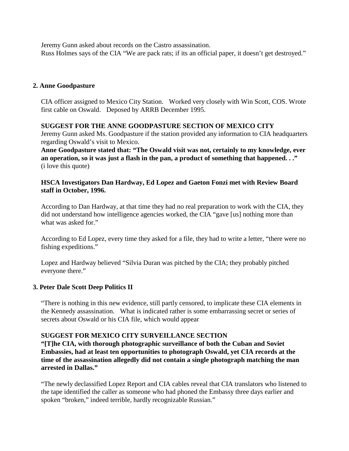Jeremy Gunn asked about records on the Castro assassination. Russ Holmes says of the CIA "We are pack rats; if its an official paper, it doesn't get destroyed."

### **2. Anne Goodpasture**

CIA officer assigned to Mexico City Station. Worked very closely with Win Scott, COS. Wrote first cable on Oswald. Deposed by ARRB December 1995.

### **SUGGEST FOR THE ANNE GOODPASTURE SECTION OF MEXICO CITY**

Jeremy Gunn asked Ms. Goodpasture if the station provided any information to CIA headquarters regarding Oswald's visit to Mexico.

**Anne Goodpasture stated that: "The Oswald visit was not, certainly to my knowledge, ever an operation, so it was just a flash in the pan, a product of something that happened. . ."** (i love this quote)

## **HSCA Investigators Dan Hardway, Ed Lopez and Gaeton Fonzi met with Review Board staff in October, 1996.**

According to Dan Hardway, at that time they had no real preparation to work with the CIA, they did not understand how intelligence agencies worked, the CIA "gave [us] nothing more than what was asked for."

According to Ed Lopez, every time they asked for a file, they had to write a letter, "there were no fishing expeditions."

Lopez and Hardway believed "Silvia Duran was pitched by the CIA; they probably pitched everyone there."

### **3. Peter Dale Scott Deep Politics II**

"There is nothing in this new evidence, still partly censored, to implicate these CIA elements in the Kennedy assassination. What is indicated rather is some embarrassing secret or series of secrets about Oswald or his CIA file, which would appear

### **SUGGEST FOR MEXICO CITY SURVEILLANCE SECTION**

**"[T]he CIA, with thorough photographic surveillance of both the Cuban and Soviet Embassies, had at least ten opportunities to photograph Oswald, yet CIA records at the time of the assassination allegedly did not contain a single photograph matching the man arrested in Dallas."**

"The newly declassified Lopez Report and CIA cables reveal that CIA translators who listened to the tape identified the caller as someone who had phoned the Embassy three days earlier and spoken "broken," indeed terrible, hardly recognizable Russian."